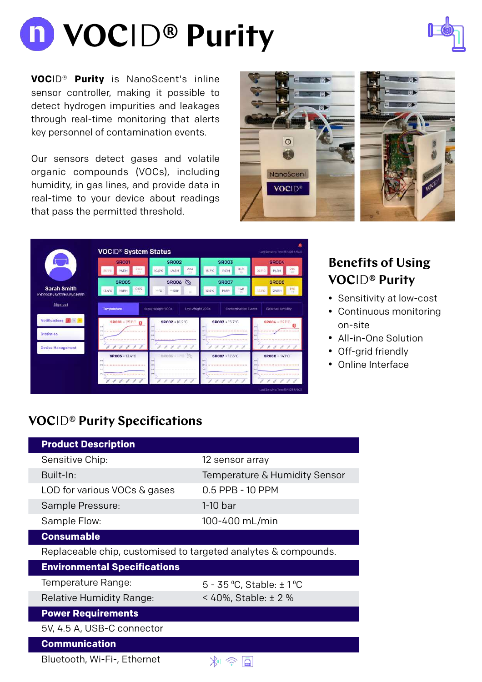# **VOC**ID**® Purity**



**VOC**ID® **Purity** is NanoScent's inline sensor controller, making it possible to detect hydrogen impurities and leakages through real-time monitoring that alerts key personnel of contamination events.

Our sensors detect gases and volatile organic compounds (VOCs), including humidity, in gas lines, and provide data in real-time to your device about readings that pass the permitted threshold.





|                                                        | <b>SR001</b>                 | <b>SR002</b>                            | <b>SR003</b>                          | <b>SR004</b>                                                       |
|--------------------------------------------------------|------------------------------|-----------------------------------------|---------------------------------------|--------------------------------------------------------------------|
|                                                        | 2.63<br><b>19-RH</b><br>23   | 2.63<br>$10.2^{\circ}$ C<br>4%RH<br>23. | 0.05<br>15.7°C<br><b>1%RH</b><br>1h   | 2.12<br>22.1<br><b>1%RH</b><br>1991                                |
|                                                        | <b>SR005</b>                 | SR006                                   | <b>SR007</b>                          | <b>SR008</b>                                                       |
| <b>Sarah Smith</b><br><b>HYDROGEN SYSTEMS ENGINEER</b> | 0.05<br>13.4°C<br>1%RH<br>15 | $-90$<br>三等同日<br>16                     | 148<br>12.6°C<br><b>1%RH</b><br>Yé    | 198<br>2%RH                                                        |
| Sign out                                               |                              |                                         |                                       |                                                                    |
|                                                        | Temperature                  | Heavy Weight VOCs<br>Low-Waight VOCs    | Contamination Events                  | Relative Humidity                                                  |
| Notifications 2 1 1                                    | <b>SROO1 · 25TO</b>          | <b>SR002 · 10.2°C</b>                   | <b>SROO3 · 15.7°C</b><br>m.           | <b>SR004 · 22 FC</b>                                               |
|                                                        |                              |                                         |                                       |                                                                    |
|                                                        |                              | <b></b>                                 |                                       |                                                                    |
| <b>Device Management</b>                               | 111111                       | D.<br>11111                             | 9 8 8 8 8                             | $\mathcal{S} = \mathcal{S} = \mathcal{S}$<br>$\mathcal{A}^*$<br>P. |
|                                                        | <b>SR005 - 13.4°C</b>        | <b>SROO6 - C</b>                        | $SROO7 - 12.6^{\circ}C$<br><b>BOY</b> | <b>SR008 · 14.1°C</b>                                              |
| ter.                                                   |                              |                                         |                                       |                                                                    |
| 30.3<br>p/c                                            |                              |                                         |                                       |                                                                    |

## **Benefits of Using VOC**ID**® Purity**

- Sensitivity at low-cost
- Continuous monitoring on-site
- All-in-One Solution
- Off-grid friendly
- Online Interface

## **VOC**ID® **Purity Specifications**

| <b>Product Description</b>                                     |                               |  |  |
|----------------------------------------------------------------|-------------------------------|--|--|
| Sensitive Chip:                                                | 12 sensor array               |  |  |
| Built-In:                                                      | Temperature & Humidity Sensor |  |  |
| LOD for various VOCs & gases                                   | 0.5 PPB - 10 PPM              |  |  |
| Sample Pressure:                                               | 1-10 bar                      |  |  |
| Sample Flow:                                                   | 100-400 mL/min                |  |  |
| <b>Consumable</b>                                              |                               |  |  |
| Replaceable chip, customised to targeted analytes & compounds. |                               |  |  |
| <b>Environmental Specifications</b>                            |                               |  |  |
| Temperature Range:                                             | 5 - 35 °C, Stable: $\pm$ 1 °C |  |  |
| <b>Relative Humidity Range:</b>                                | < 40%, Stable: $\pm$ 2 %      |  |  |
| <b>Power Requirements</b>                                      |                               |  |  |
| 5V, 4.5 A, USB-C connector                                     |                               |  |  |
| <b>Communication</b>                                           |                               |  |  |
| Bluetooth, Wi-Fi-, Ethernet                                    |                               |  |  |